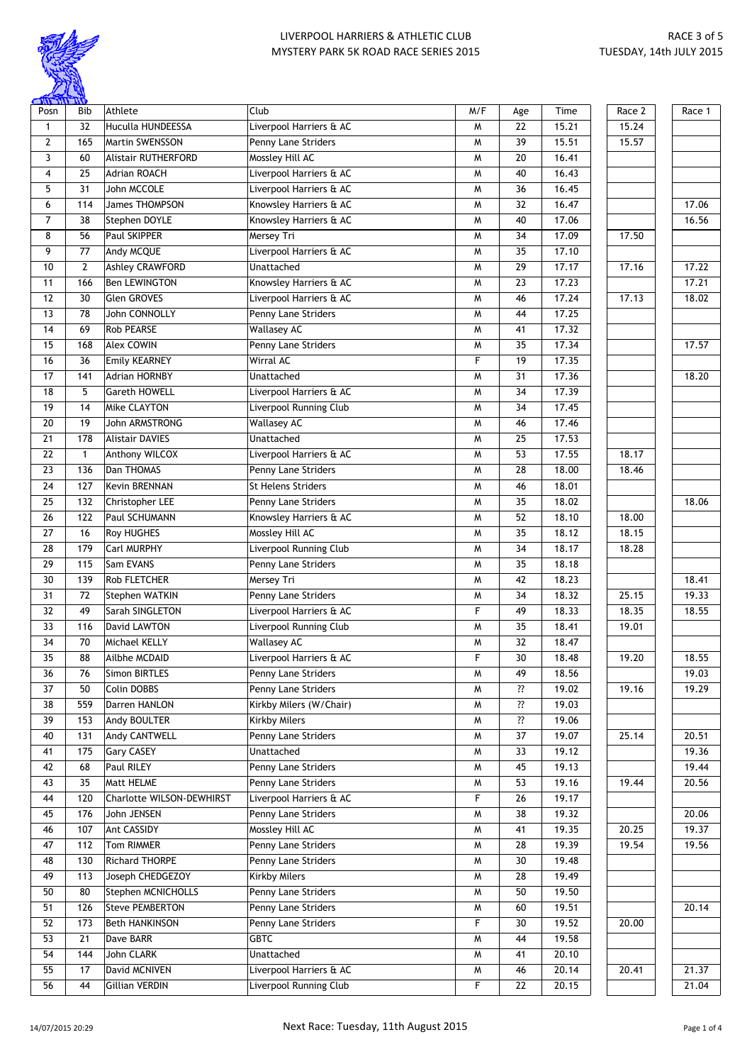

| $\frac{1}{\sqrt{10}}$ |                 |                            |                           |     |     |       |        |        |
|-----------------------|-----------------|----------------------------|---------------------------|-----|-----|-------|--------|--------|
| Posn                  | <b>Bib</b>      | Athlete                    | Club                      | M/F | Age | Time  | Race 2 | Race 1 |
| $\mathbf{1}$          | 32              | <b>Huculla HUNDEESSA</b>   | Liverpool Harriers & AC   | M   | 22  | 15.21 | 15.24  |        |
| $\overline{2}$        | 165             | Martin SWENSSON            | Penny Lane Striders       | M   | 39  | 15.51 | 15.57  |        |
| 3                     | 60              | <b>Alistair RUTHERFORD</b> | Mossley Hill AC           | M   | 20  | 16.41 |        |        |
| 4                     | 25              | <b>Adrian ROACH</b>        | Liverpool Harriers & AC   | M   | 40  | 16.43 |        |        |
| 5                     | 31              | John MCCOLE                | Liverpool Harriers & AC   | M   | 36  | 16.45 |        |        |
| 6                     | 114             | James THOMPSON             | Knowsley Harriers & AC    | M   | 32  | 16.47 |        | 17.06  |
| 7                     | 38              | Stephen DOYLE              | Knowsley Harriers & AC    | M   | 40  | 17.06 |        | 16.56  |
| 8                     | 56              | Paul SKIPPER               | Mersey Tri                | M   | 34  | 17.09 | 17.50  |        |
| 9                     | 77              | Andy MCQUE                 | Liverpool Harriers & AC   | M   | 35  | 17.10 |        |        |
| 10                    | $\overline{2}$  | <b>Ashley CRAWFORD</b>     | Unattached                | M   | 29  | 17.17 | 17.16  | 17.22  |
| 11                    | 166             | <b>Ben LEWINGTON</b>       | Knowsley Harriers & AC    | M   | 23  | 17.23 |        | 17.21  |
| 12                    | 30              | <b>Glen GROVES</b>         | Liverpool Harriers & AC   | M   | 46  | 17.24 | 17.13  | 18.02  |
| 13                    | 78              | John CONNOLLY              | Penny Lane Striders       | M   | 44  | 17.25 |        |        |
| 14                    | 69              | Rob PEARSE                 | <b>Wallasey AC</b>        | M   | 41  | 17.32 |        |        |
| 15                    | 168             | <b>Alex COWIN</b>          | Penny Lane Striders       | M   | 35  | 17.34 |        | 17.57  |
| 16                    | $\overline{36}$ | <b>Emily KEARNEY</b>       | Wirral AC                 | F   | 19  | 17.35 |        |        |
| 17                    | 141             | <b>Adrian HORNBY</b>       | Unattached                | M   | 31  | 17.36 |        | 18.20  |
| 18                    | 5               | Gareth HOWELL              | Liverpool Harriers & AC   | M   | 34  | 17.39 |        |        |
| 19                    | 14              | Mike CLAYTON               | Liverpool Running Club    | M   | 34  | 17.45 |        |        |
| 20                    | 19              | John ARMSTRONG             | <b>Wallasey AC</b>        | M   | 46  | 17.46 |        |        |
| 21                    |                 | <b>Alistair DAVIES</b>     | Unattached                |     | 25  | 17.53 |        |        |
|                       | 178             |                            |                           | M   |     |       |        |        |
| 22                    | $\mathbf{1}$    | Anthony WILCOX             | Liverpool Harriers & AC   | M   | 53  | 17.55 | 18.17  |        |
| 23                    | 136             | Dan THOMAS                 | Penny Lane Striders       | M   | 28  | 18.00 | 18.46  |        |
| 24                    | 127             | Kevin BRENNAN              | <b>St Helens Striders</b> | M   | 46  | 18.01 |        |        |
| 25                    | 132             | Christopher LEE            | Penny Lane Striders       | M   | 35  | 18.02 |        | 18.06  |
| 26                    | 122             | Paul SCHUMANN              | Knowsley Harriers & AC    | M   | 52  | 18.10 | 18.00  |        |
| 27                    | 16              | Roy HUGHES                 | Mossley Hill AC           | M   | 35  | 18.12 | 18.15  |        |
| $\overline{28}$       | 179             | Carl MURPHY                | Liverpool Running Club    | M   | 34  | 18.17 | 18.28  |        |
| 29                    | 115             | Sam EVANS                  | Penny Lane Striders       | M   | 35  | 18.18 |        |        |
| 30                    | 139             | Rob FLETCHER               | Mersey Tri                | M   | 42  | 18.23 |        | 18.41  |
| 31                    | 72              | Stephen WATKIN             | Penny Lane Striders       | M   | 34  | 18.32 | 25.15  | 19.33  |
| $\overline{32}$       | 49              | Sarah SINGLETON            | Liverpool Harriers & AC   | F   | 49  | 18.33 | 18.35  | 18.55  |
| 33                    | 116             | David LAWTON               | Liverpool Running Club    | M   | 35  | 18.41 | 19.01  |        |
| 34                    | 70              | Michael KELLY              | <b>Wallasey AC</b>        | M   | 32  | 18.47 |        |        |
| $\overline{35}$       | $\overline{88}$ | Ailbhe MCDAID              | Liverpool Harriers & AC   | F   | 30  | 18.48 | 19.20  | 18.55  |
| 36                    | 76              | <b>Simon BIRTLES</b>       | Penny Lane Striders       | M   | 49  | 18.56 |        | 19.03  |
| 37                    | 50              | Colin DOBBS                | Penny Lane Striders       | M   | ??  | 19.02 | 19.16  | 19.29  |
| 38                    | 559             | Darren HANLON              | Kirkby Milers (W/Chair)   | M   | ??  | 19.03 |        |        |
| 39                    | 153             | Andy BOULTER               | Kirkby Milers             | W   | ??  | 19.06 |        |        |
| 40                    | 131             | Andy CANTWELL              | Penny Lane Striders       | M   | 37  | 19.07 | 25.14  | 20.51  |
| 41                    | 175             | <b>Gary CASEY</b>          | Unattached                | M   | 33  | 19.12 |        | 19.36  |
| 42                    | 68              | Paul RILEY                 | Penny Lane Striders       | M   | 45  | 19.13 |        | 19.44  |
| 43                    | 35              | Matt HELME                 | Penny Lane Striders       | M   | 53  | 19.16 | 19.44  | 20.56  |
| 44                    | 120             | Charlotte WILSON-DEWHIRST  | Liverpool Harriers & AC   | F   | 26  | 19.17 |        |        |
| 45                    | 176             | John JENSEN                | Penny Lane Striders       | M   | 38  | 19.32 |        | 20.06  |
| 46                    | 107             | Ant CASSIDY                | Mossley Hill AC           | M   | 41  | 19.35 | 20.25  | 19.37  |
| 47                    | 112             | Tom RIMMER                 | Penny Lane Striders       | M   | 28  | 19.39 | 19.54  | 19.56  |
| 48                    | 130             | Richard THORPE             | Penny Lane Striders       | M   | 30  | 19.48 |        |        |
| 49                    | 113             | Joseph CHEDGEZOY           | Kirkby Milers             | M   | 28  | 19.49 |        |        |
|                       |                 |                            |                           |     |     |       |        |        |
| 50                    | 80              | Stephen MCNICHOLLS         | Penny Lane Striders       | M   | 50  | 19.50 |        |        |
| 51                    | 126             | <b>Steve PEMBERTON</b>     | Penny Lane Striders       | M   | 60  | 19.51 |        | 20.14  |
| 52                    | 173             | <b>Beth HANKINSON</b>      | Penny Lane Striders       | F   | 30  | 19.52 | 20.00  |        |
| 53                    | 21              | Dave BARR                  | <b>GBTC</b>               | M   | 44  | 19.58 |        |        |
| 54                    | 144             | John CLARK                 | Unattached                | M   | 41  | 20.10 |        |        |
| 55                    | 17              | David MCNIVEN              | Liverpool Harriers & AC   | W   | 46  | 20.14 | 20.41  | 21.37  |
| $\overline{56}$       | 44              | Gillian VERDIN             | Liverpool Running Club    | F   | 22  | 20.15 |        | 21.04  |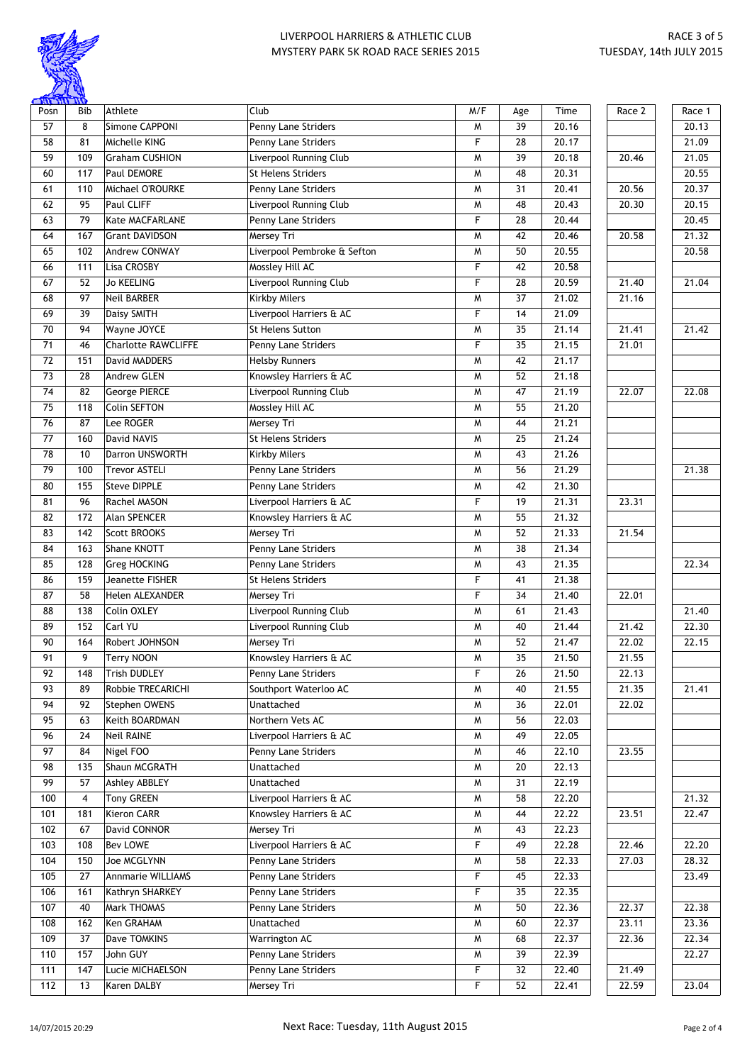

| $\frac{1}{\sqrt{10}}$ |                 |                            |                               |           |                 |                    |        |        |
|-----------------------|-----------------|----------------------------|-------------------------------|-----------|-----------------|--------------------|--------|--------|
| Posn                  | Bib             | Athlete                    | Club                          | M/F       | Age             | Time               | Race 2 | Race 1 |
| 57                    | 8               | Simone CAPPONI             | Penny Lane Striders           | M         | 39              | 20.16              |        | 20.13  |
| 58                    | 81              | Michelle KING              | Penny Lane Striders           | F         | 28              | 20.17              |        | 21.09  |
| 59                    | 109             | <b>Graham CUSHION</b>      | Liverpool Running Club        | M         | 39              | 20.18              | 20.46  | 21.05  |
| 60                    | 117             | <b>Paul DEMORE</b>         | <b>St Helens Striders</b>     | M         | 48              | 20.31              |        | 20.55  |
| 61                    | 110             | Michael O'ROURKE           | Penny Lane Striders           | M         | 31              | 20.41              | 20.56  | 20.37  |
| 62                    | 95              | Paul CLIFF                 | Liverpool Running Club        | M         | 48              | 20.43              | 20.30  | 20.15  |
| 63                    | 79              | Kate MACFARLANE            | Penny Lane Striders           | F         | 28              | 20.44              |        | 20.45  |
| 64                    | 167             | <b>Grant DAVIDSON</b>      | Mersey Tri                    | M         | 42              | 20.46              | 20.58  | 21.32  |
| 65                    | 102             | Andrew CONWAY              | Liverpool Pembroke & Sefton   | M         | 50              | $\overline{20.55}$ |        | 20.58  |
| 66                    | 111             | Lisa CROSBY                | Mossley Hill AC               | F         | 42              | 20.58              |        |        |
| 67                    | 52              | <b>Jo KEELING</b>          | Liverpool Running Club        | F         | 28              | 20.59              | 21.40  | 21.04  |
| 68                    | 97              | <b>Neil BARBER</b>         | <b>Kirkby Milers</b>          | M         | 37              | 21.02              | 21.16  |        |
| 69                    | 39              | Daisy SMITH                | Liverpool Harriers & AC       | F         | 14              | 21.09              |        |        |
| 70                    | 94              | Wayne JOYCE                | St Helens Sutton              | M         | 35              | 21.14              | 21.41  | 21.42  |
| 71                    | 46              | <b>Charlotte RAWCLIFFE</b> | Penny Lane Striders           | F         | 35              | 21.15              | 21.01  |        |
| 72                    | 151             | David MADDERS              | <b>Helsby Runners</b>         | M         | 42              | 21.17              |        |        |
| 73                    | 28              | <b>Andrew GLEN</b>         | Knowsley Harriers & AC        | M         | 52              | 21.18              |        |        |
| 74                    | 82              | <b>George PIERCE</b>       | <b>Liverpool Running Club</b> | M         | 47              | 21.19              | 22.07  | 22.08  |
|                       |                 |                            |                               |           |                 |                    |        |        |
| 75                    | 118             | Colin SEFTON               | Mossley Hill AC               | M         | 55              | 21.20              |        |        |
| 76                    | 87              | Lee ROGER                  | Mersey Tri                    | M         | 44              | 21.21              |        |        |
| 77                    | 160             | David NAVIS                | <b>St Helens Striders</b>     | M         | 25              | 21.24              |        |        |
| 78                    | 10              | Darron UNSWORTH            | <b>Kirkby Milers</b>          | M         | 43              | $\overline{21.26}$ |        |        |
| 79                    | 100             | <b>Trevor ASTELI</b>       | Penny Lane Striders           | M         | 56              | $\overline{21.29}$ |        | 21.38  |
| 80                    | 155             | <b>Steve DIPPLE</b>        | Penny Lane Striders           | M         | 42              | 21.30              |        |        |
| 81                    | 96              | Rachel MASON               | Liverpool Harriers & AC       | F         | 19              | 21.31              | 23.31  |        |
| 82                    | 172             | Alan SPENCER               | Knowsley Harriers & AC        | M         | 55              | 21.32              |        |        |
| 83                    | 142             | <b>Scott BROOKS</b>        | Mersey Tri                    | M         | 52              | 21.33              | 21.54  |        |
| 84                    | 163             | Shane KNOTT                | Penny Lane Striders           | M         | 38              | 21.34              |        |        |
| 85                    | 128             | <b>Greg HOCKING</b>        | Penny Lane Striders           | M         | 43              | 21.35              |        | 22.34  |
| 86                    | 159             | Jeanette FISHER            | <b>St Helens Striders</b>     | F         | 41              | 21.38              |        |        |
| 87                    | $\overline{58}$ | Helen ALEXANDER            | Mersey Tri                    | F         | 34              | $\overline{21.40}$ | 22.01  |        |
| 88                    | 138             | Colin OXLEY                | Liverpool Running Club        | M         | 61              | 21.43              |        | 21.40  |
| 89                    | 152             | Carl YU                    | Liverpool Running Club        | M         | 40              | 21.44              | 21.42  | 22.30  |
| 90                    | 164             | Robert JOHNSON             | Mersey Tri                    | M         | 52              | 21.47              | 22.02  | 22.15  |
| $\overline{91}$       | 9               | Terry NOON                 | Knowsley Harriers & AC        | ${\sf M}$ | $\overline{35}$ | 21.50              | 21.55  |        |
| 92                    | 148             | <b>Trish DUDLEY</b>        | Penny Lane Striders           | F         | 26              | 21.50              | 22.13  |        |
| 93                    | 89              | Robbie TRECARICHI          | Southport Waterloo AC         | W         | 40              | 21.55              | 21.35  | 21.41  |
| 94                    | 92              | Stephen OWENS              | Unattached                    | M         | 36              | 22.01              | 22.02  |        |
| 95                    | 63              | Keith BOARDMAN             | Northern Vets AC              | M         | 56              | 22.03              |        |        |
| 96                    | 24              | <b>Neil RAINE</b>          | Liverpool Harriers & AC       | M         | 49              | 22.05              |        |        |
| 97                    | 84              | Nigel FOO                  | Penny Lane Striders           | M         | 46              | 22.10              | 23.55  |        |
| 98                    | 135             | Shaun MCGRATH              | Unattached                    | M         | 20              | 22.13              |        |        |
| 99                    | 57              | Ashley ABBLEY              | Unattached                    | M         | 31              | 22.19              |        |        |
| 100                   | 4               | Tony GREEN                 | Liverpool Harriers & AC       |           | 58              | 22.20              |        | 21.32  |
|                       |                 |                            |                               | M         |                 |                    |        |        |
| 101                   | 181             | <b>Kieron CARR</b>         | Knowsley Harriers & AC        | M         | 44              | 22.22              | 23.51  | 22.47  |
| 102                   | 67              | David CONNOR               | Mersey Tri                    | M         | 43              | 22.23              |        |        |
| 103                   | 108             | Bev LOWE                   | Liverpool Harriers & AC       | F         | 49              | 22.28              | 22.46  | 22.20  |
| 104                   | 150             | Joe MCGLYNN                | Penny Lane Striders           | M         | 58              | 22.33              | 27.03  | 28.32  |
| 105                   | 27              | Annmarie WILLIAMS          | Penny Lane Striders           | F         | 45              | 22.33              |        | 23.49  |
| 106                   | 161             | Kathryn SHARKEY            | Penny Lane Striders           | F         | 35              | 22.35              |        |        |
| 107                   | 40              | Mark THOMAS                | Penny Lane Striders           | M         | 50              | 22.36              | 22.37  | 22.38  |
| 108                   | 162             | Ken GRAHAM                 | Unattached                    | M         | 60              | 22.37              | 23.11  | 23.36  |
| 109                   | 37              | Dave TOMKINS               | Warrington AC                 | M         | 68              | 22.37              | 22.36  | 22.34  |
| 110                   | 157             | John GUY                   | Penny Lane Striders           | W         | 39              | 22.39              |        | 22.27  |
| 111                   | 147             | Lucie MICHAELSON           | Penny Lane Striders           | F         | 32              | 22.40              | 21.49  |        |
| 112                   | 13              | Karen DALBY                | Mersey Tri                    | F         | 52              | 22.41              | 22.59  | 23.04  |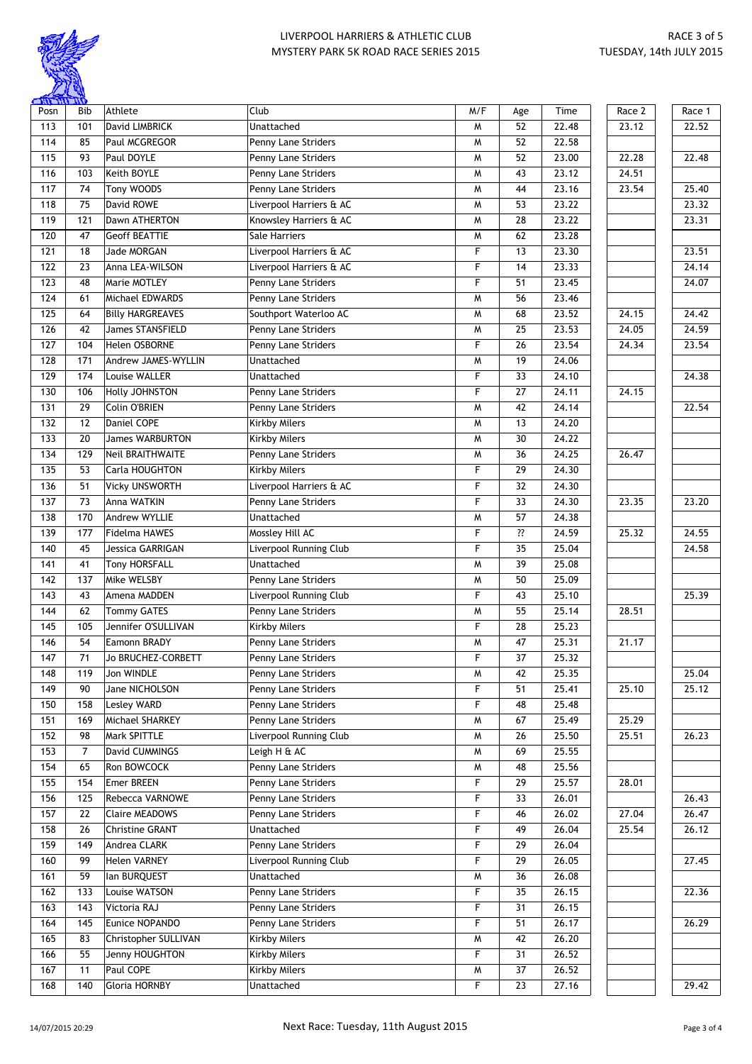

| <b>CHIT THE CITY</b> |                 |                         |                         |     |                 |                   |        |        |
|----------------------|-----------------|-------------------------|-------------------------|-----|-----------------|-------------------|--------|--------|
| Posn                 | Bib             | Athlete                 | Club                    | M/F | Age             | Time              | Race 2 | Race 1 |
| 113                  | 101             | David LIMBRICK          | Unattached              | M   | 52              | 22.48             | 23.12  | 22.52  |
| 114                  | 85              | Paul MCGREGOR           | Penny Lane Striders     | M   | 52              | 22.58             |        |        |
| 115                  | 93              | Paul DOYLE              | Penny Lane Striders     | M   | 52              | 23.00             | 22.28  | 22.48  |
| 116                  | 103             | Keith BOYLE             | Penny Lane Striders     | M   | 43              | 23.12             | 24.51  |        |
| 117                  | 74              | Tony WOODS              | Penny Lane Striders     | M   | 44              | 23.16             | 23.54  | 25.40  |
| 118                  | 75              | David ROWE              | Liverpool Harriers & AC | M   | 53              | 23.22             |        | 23.32  |
| 119                  | 121             | Dawn ATHERTON           | Knowsley Harriers & AC  | M   | 28              | 23.22             |        | 23.31  |
| 120                  | 47              | <b>Geoff BEATTIE</b>    | Sale Harriers           | M   | 62              | 23.28             |        |        |
| 121                  | 18              | <b>Jade MORGAN</b>      | Liverpool Harriers & AC | F   | 13              | 23.30             |        | 23.51  |
| 122                  | 23              | Anna LEA-WILSON         | Liverpool Harriers & AC | F   | 14              | 23.33             |        | 24.14  |
| 123                  | 48              | Marie MOTLEY            | Penny Lane Striders     | F   | 51              | 23.45             |        | 24.07  |
| 124                  | 61              | Michael EDWARDS         | Penny Lane Striders     | M   | 56              | 23.46             |        |        |
| 125                  | 64              | <b>Billy HARGREAVES</b> | Southport Waterloo AC   | M   | 68              | 23.52             | 24.15  | 24.42  |
| 126                  | 42              | <b>James STANSFIELD</b> | Penny Lane Striders     | M   | 25              | 23.53             | 24.05  | 24.59  |
| 127                  | 104             | Helen OSBORNE           | Penny Lane Striders     | F   | 26              | 23.54             | 24.34  | 23.54  |
| 128                  | 171             | Andrew JAMES-WYLLIN     | Unattached              | M   | 19              | 24.06             |        |        |
| 129                  | 174             | Louise WALLER           | Unattached              | F   | 33              | 24.10             |        | 24.38  |
| 130                  | 106             |                         |                         | F   | 27              | 24.11             | 24.15  |        |
|                      |                 | Holly JOHNSTON          | Penny Lane Striders     |     |                 |                   |        |        |
| 131                  | 29              | Colin O'BRIEN           | Penny Lane Striders     | M   | 42              | 24.14             |        | 22.54  |
| 132                  | 12              | Daniel COPE             | <b>Kirkby Milers</b>    | M   | 13              | 24.20             |        |        |
| 133                  | 20              | <b>James WARBURTON</b>  | <b>Kirkby Milers</b>    | M   | 30              | 24.22             |        |        |
| 134                  | 129             | Neil BRAITHWAITE        | Penny Lane Striders     | M   | 36              | 24.25             | 26.47  |        |
| 135                  | 53              | Carla HOUGHTON          | <b>Kirkby Milers</b>    | F   | 29              | 24.30             |        |        |
| 136                  | 51              | <b>Vicky UNSWORTH</b>   | Liverpool Harriers & AC | F   | 32              | 24.30             |        |        |
| 137                  | $\overline{73}$ | Anna WATKIN             | Penny Lane Striders     | F   | 33              | 24.30             | 23.35  | 23.20  |
| 138                  | 170             | Andrew WYLLIE           | Unattached              | M   | 57              | 24.38             |        |        |
| 139                  | 177             | Fidelma HAWES           | Mossley Hill AC         | F   | ??              | $\frac{1}{24.59}$ | 25.32  | 24.55  |
| 140                  | 45              | <b>Jessica GARRIGAN</b> | Liverpool Running Club  | F   | 35              | 25.04             |        | 24.58  |
| 141                  | 41              | Tony HORSFALL           | Unattached              | M   | 39              | 25.08             |        |        |
| 142                  | 137             | Mike WELSBY             | Penny Lane Striders     | W   | 50              | 25.09             |        |        |
| 143                  | 43              | Amena MADDEN            | Liverpool Running Club  | F   | 43              | 25.10             |        | 25.39  |
| 144                  | 62              | <b>Tommy GATES</b>      | Penny Lane Striders     | M   | 55              | 25.14             | 28.51  |        |
| 145                  | 105             | Jennifer O'SULLIVAN     | <b>Kirkby Milers</b>    | F   | 28              | 25.23             |        |        |
| 146                  | 54              | Eamonn BRADY            | Penny Lane Striders     | W   | 47              | 25.31             | 21.17  |        |
| 147                  | $\overline{71}$ | Jo BRUCHEZ-CORBETT      | Penny Lane Striders     | F   | $\overline{37}$ | 25.32             |        |        |
| 148                  | 119             | Jon WINDLE              | Penny Lane Striders     | W   | 42              | 25.35             |        | 25.04  |
| 149                  | 90              | Jane NICHOLSON          | Penny Lane Striders     | F   | 51              | 25.41             | 25.10  | 25.12  |
| 150                  | 158             | <b>Lesley WARD</b>      | Penny Lane Striders     | F   | 48              | 25.48             |        |        |
| 151                  | 169             | Michael SHARKEY         | Penny Lane Striders     | M   | 67              | 25.49             | 25.29  |        |
| 152                  | 98              | <b>Mark SPITTLE</b>     | Liverpool Running Club  | M   | 26              | 25.50             | 25.51  | 26.23  |
| 153                  | 7               | David CUMMINGS          | Leigh H & AC            | M   | 69              | 25.55             |        |        |
| 154                  | 65              | Ron BOWCOCK             | Penny Lane Striders     | M   | 48              | 25.56             |        |        |
|                      |                 |                         |                         | F   |                 |                   |        |        |
| 155                  | 154             | Emer BREEN              | Penny Lane Striders     |     | 29              | 25.57             | 28.01  |        |
| 156                  | 125             | Rebecca VARNOWE         | Penny Lane Striders     | F   | 33              | 26.01             |        | 26.43  |
| 157                  | 22              | <b>Claire MEADOWS</b>   | Penny Lane Striders     | F   | 46              | 26.02             | 27.04  | 26.47  |
| 158                  | 26              | Christine GRANT         | Unattached              | F   | 49              | 26.04             | 25.54  | 26.12  |
| 159                  | 149             | Andrea CLARK            | Penny Lane Striders     | F   | 29              | 26.04             |        |        |
| 160                  | 99              | <b>Helen VARNEY</b>     | Liverpool Running Club  | F   | 29              | 26.05             |        | 27.45  |
| 161                  | 59              | lan BURQUEST            | Unattached              | M   | 36              | 26.08             |        |        |
| 162                  | 133             | Louise WATSON           | Penny Lane Striders     | F   | 35              | 26.15             |        | 22.36  |
| 163                  | 143             | Victoria RAJ            | Penny Lane Striders     | F   | 31              | 26.15             |        |        |
| 164                  | 145             | Eunice NOPANDO          | Penny Lane Striders     | F   | 51              | 26.17             |        | 26.29  |
| 165                  | 83              | Christopher SULLIVAN    | <b>Kirkby Milers</b>    | M   | 42              | 26.20             |        |        |
| 166                  | 55              | Jenny HOUGHTON          | <b>Kirkby Milers</b>    | F   | 31              | 26.52             |        |        |
| 167                  | 11              | Paul COPE               | <b>Kirkby Milers</b>    | M   | 37              | 26.52             |        |        |
| 168                  | 140             | Gloria HORNBY           | Unattached              | F   | 23              | 27.16             |        | 29.42  |